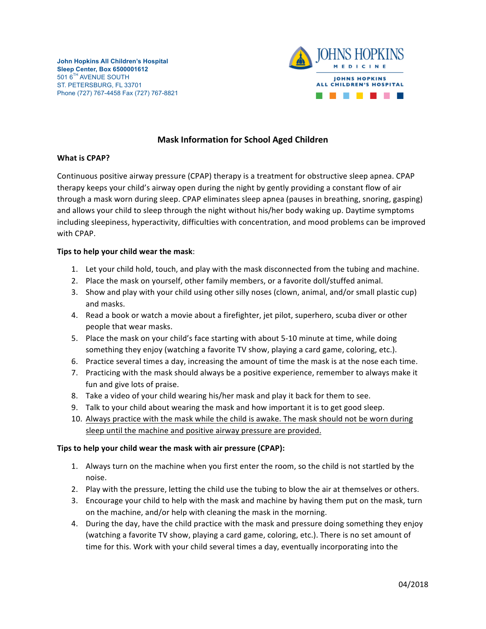

## **Mask Information for School Aged Children**

## **What is CPAP?**

Continuous positive airway pressure (CPAP) therapy is a treatment for obstructive sleep apnea. CPAP therapy keeps your child's airway open during the night by gently providing a constant flow of air through a mask worn during sleep. CPAP eliminates sleep apnea (pauses in breathing, snoring, gasping) and allows your child to sleep through the night without his/her body waking up. Daytime symptoms including sleepiness, hyperactivity, difficulties with concentration, and mood problems can be improved with CPAP.

## **Tips to help your child wear the mask**:

- 1. Let your child hold, touch, and play with the mask disconnected from the tubing and machine.
- 2. Place the mask on yourself, other family members, or a favorite doll/stuffed animal.
- 3. Show and play with your child using other silly noses (clown, animal, and/or small plastic cup) and masks.
- 4. Read a book or watch a movie about a firefighter, jet pilot, superhero, scuba diver or other people that wear masks.
- 5. Place the mask on your child's face starting with about 5-10 minute at time, while doing something they enjoy (watching a favorite TV show, playing a card game, coloring, etc.).
- 6. Practice several times a day, increasing the amount of time the mask is at the nose each time.
- 7. Practicing with the mask should always be a positive experience, remember to always make it fun and give lots of praise.
- 8. Take a video of your child wearing his/her mask and play it back for them to see.
- 9. Talk to your child about wearing the mask and how important it is to get good sleep.
- 10. Always practice with the mask while the child is awake. The mask should not be worn during sleep until the machine and positive airway pressure are provided.

## **Tips to help your child wear the mask with air pressure (CPAP):**

- 1. Always turn on the machine when you first enter the room, so the child is not startled by the noise.
- 2. Play with the pressure, letting the child use the tubing to blow the air at themselves or others.
- 3. Encourage your child to help with the mask and machine by having them put on the mask, turn on the machine, and/or help with cleaning the mask in the morning.
- 4. During the day, have the child practice with the mask and pressure doing something they enjoy (watching a favorite TV show, playing a card game, coloring, etc.). There is no set amount of time for this. Work with your child several times a day, eventually incorporating into the